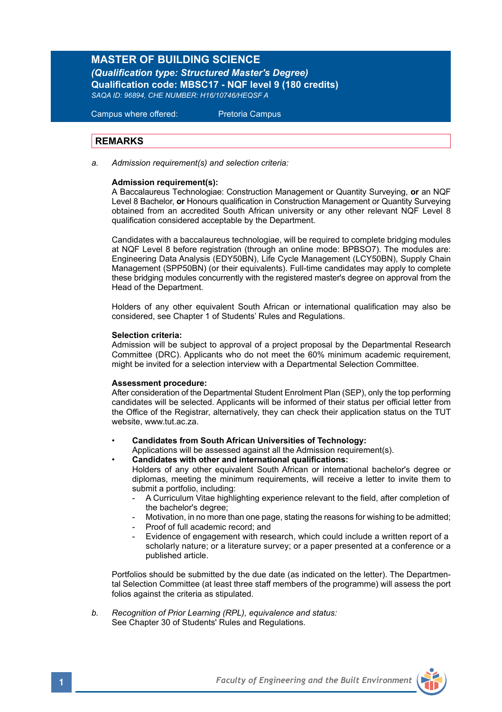## **MASTER OF BUILDING SCIENCE**

*(Qualification type: Structured Master's Degree)* **Qualification code: MBSC17 - NQF level 9 (180 credits)** *SAQA ID: 96894, CHE NUMBER: H16/10746/HEQSF A*

Campus where offered: Pretoria Campus

## **REMARKS**

*a. Admission requirement(s) and selection criteria:* 

### **Admission requirement(s):**

A Baccalaureus Technologiae: Construction Management or Quantity Surveying, **or** an NQF Level 8 Bachelor, **or** Honours qualification in Construction Management or Quantity Surveying obtained from an accredited South African university or any other relevant NQF Level 8 qualification considered acceptable by the Department.

Candidates with a baccalaureus technologiae, will be required to complete bridging modules at NQF Level 8 before registration (through an online mode: BPBSO7). The modules are: Engineering Data Analysis (EDY50BN), Life Cycle Management (LCY50BN), Supply Chain Management (SPP50BN) (or their equivalents). Full-time candidates may apply to complete these bridging modules concurrently with the registered master's degree on approval from the Head of the Department.

Holders of any other equivalent South African or international qualification may also be considered, see Chapter 1 of Students' Rules and Regulations.

#### **Selection criteria:**

Admission will be subject to approval of a project proposal by the Departmental Research Committee (DRC). Applicants who do not meet the 60% minimum academic requirement, might be invited for a selection interview with a Departmental Selection Committee.

#### **Assessment procedure:**

After consideration of the Departmental Student Enrolment Plan (SEP), only the top performing candidates will be selected. Applicants will be informed of their status per official letter from the Office of the Registrar, alternatively, they can check their application status on the TUT website, www.tut.ac.za.

- **Candidates from South African Universities of Technology:** Applications will be assessed against all the Admission requirement(s).
	- **Candidates with other and international qualifications:** Holders of any other equivalent South African or international bachelor's degree or diplomas, meeting the minimum requirements, will receive a letter to invite them to submit a portfolio, including:
		- A Curriculum Vitae highlighting experience relevant to the field, after completion of the bachelor's degree;
		- Motivation, in no more than one page, stating the reasons for wishing to be admitted;
		- Proof of full academic record; and
		- Evidence of engagement with research, which could include a written report of a scholarly nature; or a literature survey; or a paper presented at a conference or a published article.

Portfolios should be submitted by the due date (as indicated on the letter). The Departmental Selection Committee (at least three staff members of the programme) will assess the port folios against the criteria as stipulated.

*b. Recognition of Prior Learning (RPL), equivalence and status:* See Chapter 30 of Students' Rules and Regulations.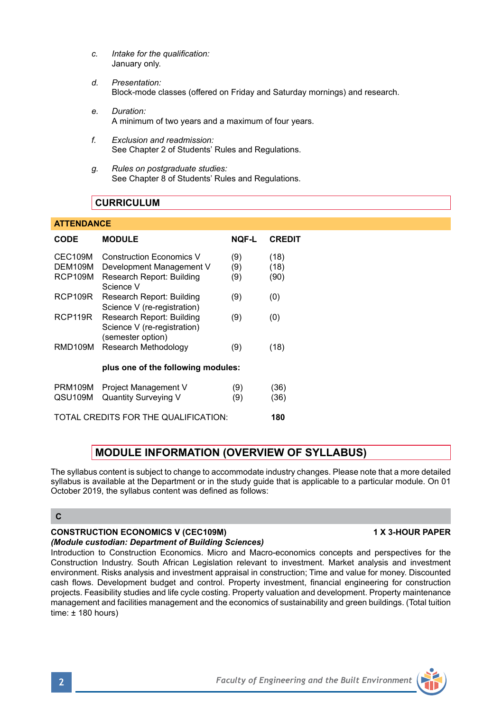- *c. Intake for the qualification:* January only.
- *d. Presentation:*  Block-mode classes (offered on Friday and Saturday mornings) and research.
- *e. Duration:* A minimum of two years and a maximum of four years.
- *f. Exclusion and readmission:* See Chapter 2 of Students' Rules and Regulations.
- *g. Rules on postgraduate studies:* See Chapter 8 of Students' Rules and Regulations.

## **CURRICULUM**

### **ATTENDANCE**

| CODE                                 | <b>MODULE</b>                                                                 | NOF-L      | <b>CREDIT</b> |
|--------------------------------------|-------------------------------------------------------------------------------|------------|---------------|
| CEC109M                              | Construction Economics V                                                      | (9)        | (18)          |
| DEM109M                              | Development Management V                                                      | (9)        | (18)          |
| <b>RCP109M</b>                       | Research Report: Building<br>Science V                                        | (9)        | (90)          |
| RCP109R                              | Research Report: Building<br>Science V (re-registration)                      | (9)        | (0)           |
| RCP119R                              | Research Report: Building<br>Science V (re-registration)<br>(semester option) | (9)        | (0)           |
| <b>RMD109M</b>                       | Research Methodology                                                          | (9)        | (18)          |
| plus one of the following modules:   |                                                                               |            |               |
| PRM109M<br>OSU109M                   | Project Management V<br><b>Quantity Surveying V</b>                           | (9)<br>(9) | (36)<br>(36)  |
| TOTAL CREDITS FOR THE QUALIFICATION: |                                                                               |            | 180           |

## **MODULE INFORMATION (OVERVIEW OF SYLLABUS)**

The syllabus content is subject to change to accommodate industry changes. Please note that a more detailed syllabus is available at the Department or in the study guide that is applicable to a particular module. On 01 October 2019, the syllabus content was defined as follows:

#### **C**

#### **CONSTRUCTION ECONOMICS V (CEC109M) 1 X 3-HOUR PAPER**  *(Module custodian: Department of Building Sciences)*

Introduction to Construction Economics. Micro and Macro-economics concepts and perspectives for the Construction Industry. South African Legislation relevant to investment. Market analysis and investment environment. Risks analysis and investment appraisal in construction; Time and value for money. Discounted cash flows. Development budget and control. Property investment, financial engineering for construction projects. Feasibility studies and life cycle costing. Property valuation and development. Property maintenance management and facilities management and the economics of sustainability and green buildings. (Total tuition time: ± 180 hours)